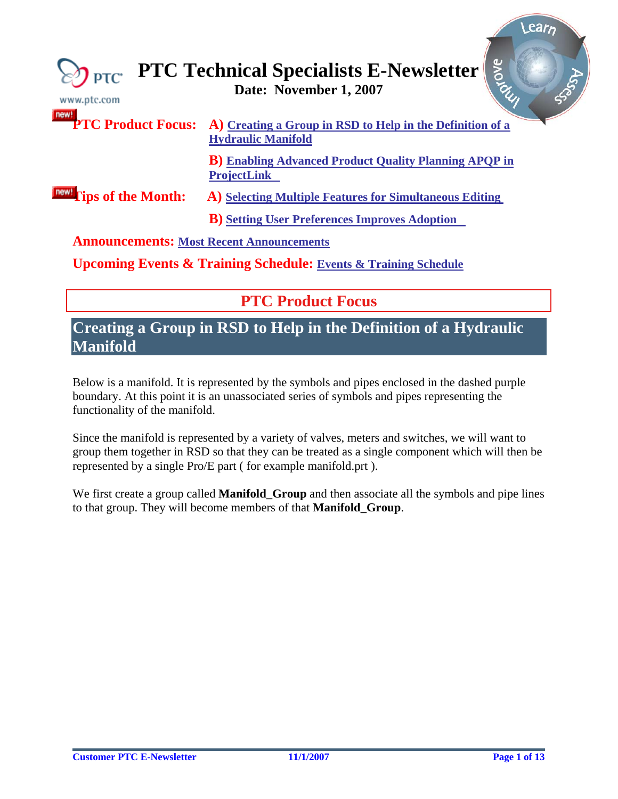<span id="page-0-0"></span>

| PTC <sup>+</sup><br>www.ptc.com                 | Bronc<br><b>PTC Technical Specialists E-Newsletter</b><br>Date: November 1, 2007                          |
|-------------------------------------------------|-----------------------------------------------------------------------------------------------------------|
|                                                 | PTC Product Focus: A) Creating a Group in RSD to Help in the Definition of a<br><b>Hydraulic Manifold</b> |
|                                                 | <b>B</b> ) Enabling Advanced Product Quality Planning APQP in<br><b>ProjectLink</b>                       |
| <b>Tips of the Month:</b>                       | A) Selecting Multiple Features for Simultaneous Editing                                                   |
|                                                 | <b>B</b> ) Setting User Preferences Improves Adoption                                                     |
| <b>Announcements: Most Recent Announcements</b> |                                                                                                           |
|                                                 | <b>Upcoming Events &amp; Training Schedule: Events &amp; Training Schedule</b>                            |

**PTC Product Focus** 

## **Creating a Group in RSD to Help in the Definition of a Hydraulic Manifold**

Below is a manifold. It is represented by the symbols and pipes enclosed in the dashed purple boundary. At this point it is an unassociated series of symbols and pipes representing the functionality of the manifold.

Since the manifold is represented by a variety of valves, meters and switches, we will want to group them together in RSD so that they can be treated as a single component which will then be represented by a single Pro/E part ( for example manifold.prt ).

We first create a group called **Manifold\_Group** and then associate all the symbols and pipe lines to that group. They will become members of that **Manifold\_Group**.

**Learn**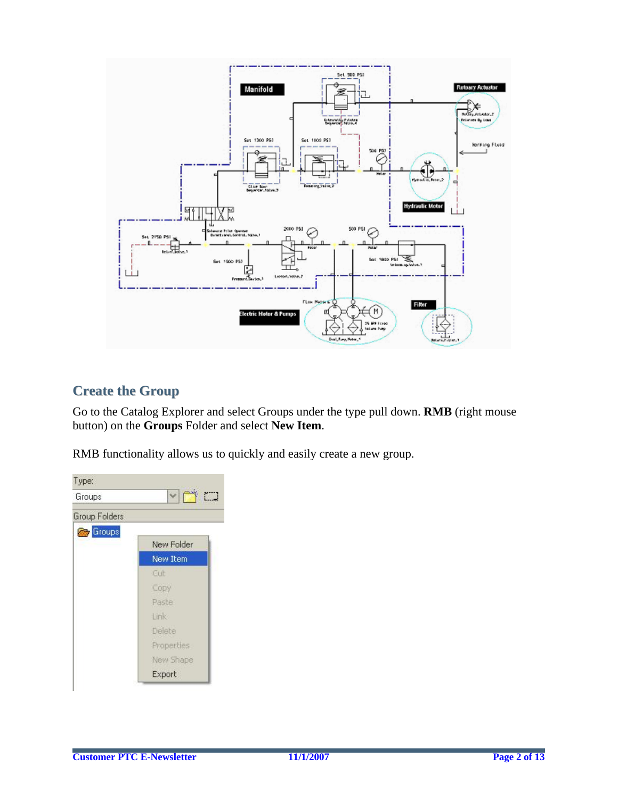

## **Create the Group**

Go to the Catalog Explorer and select Groups under the type pull down. **RMB** (right mouse button) on the **Groups** Folder and select **New Item**.

RMB functionality allows us to quickly and easily create a new group.

| Groups                | $\checkmark$<br>ř |
|-----------------------|-------------------|
| <b>Group Folders</b>  |                   |
| <b>Company</b> Groups |                   |
|                       | New Folder        |
|                       | <b>New Item</b>   |
|                       | Cut               |
|                       | Copy              |
|                       | Paste             |
|                       | Link              |
|                       | Delete            |
|                       | Properties        |
|                       | New Shape         |
|                       | Export            |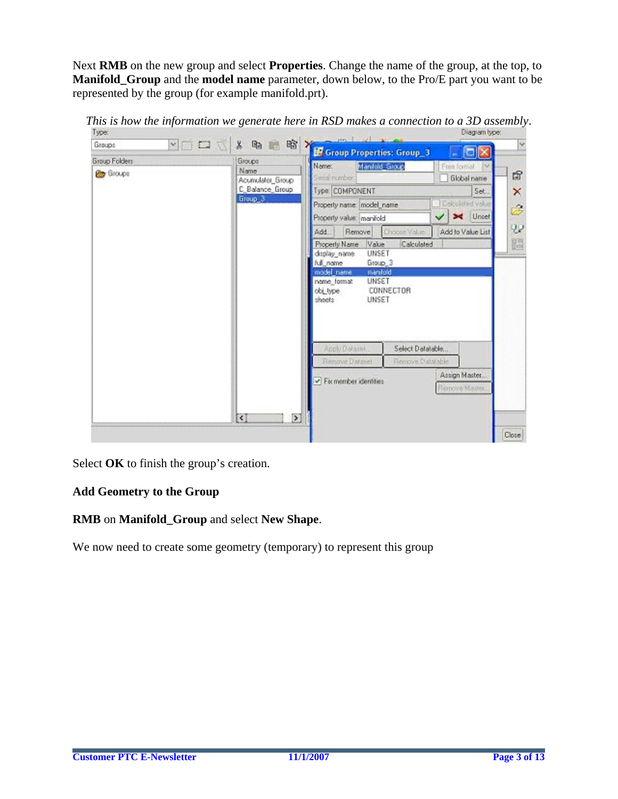Next **RMB** on the new group and select **Properties**. Change the name of the group, at the top, to **Manifold Group** and the **model name** parameter, down below, to the Pro/E part you want to be represented by the group (for example manifold.prt).



*This is how the information we generate here in RSD makes a connection to a 3D assembly.*<br>I we connection to a 3D assembly.

Select **OK** to finish the group's creation.

### **Add Geometry to the Group**

### **RMB** on **Manifold\_Group** and select **New Shape**.

We now need to create some geometry (temporary) to represent this group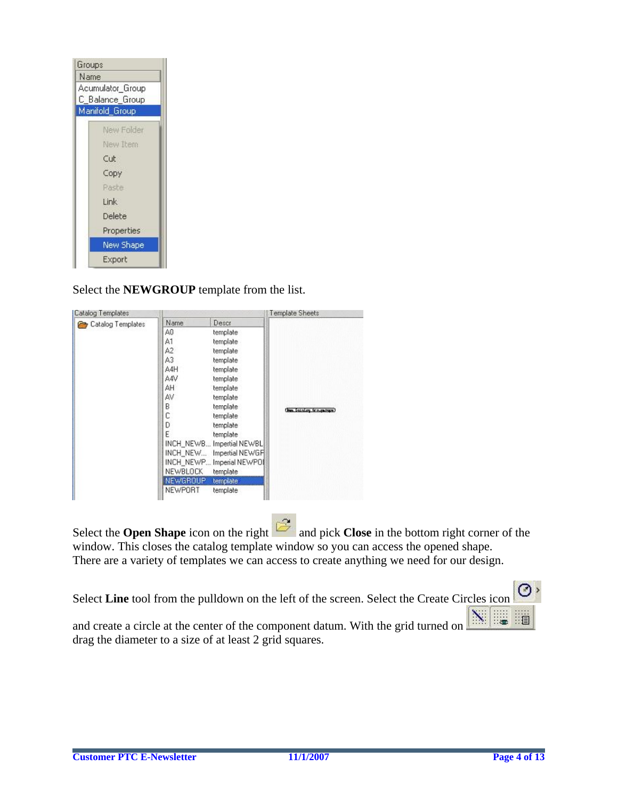| Groups |                                     |  |
|--------|-------------------------------------|--|
| Name   |                                     |  |
|        | Acumulator Group<br>C_Balance_Group |  |
|        | Manifold Group                      |  |
|        | New Folder                          |  |
|        | New Item                            |  |
|        | Cut                                 |  |
|        | Copy                                |  |
|        | Raste                               |  |
|        | Link                                |  |
|        | Delete                              |  |
|        | Properties                          |  |
|        | <b>New Shape</b>                    |  |
|        | Export                              |  |

Select the **NEWGROUP** template from the list.

| <b>Catalog Templates</b> |          |                           | Template Sheets        |
|--------------------------|----------|---------------------------|------------------------|
| Catalog Templates        | Name     | Descr                     |                        |
|                          | ΑO       | template                  |                        |
|                          | А1       | template                  |                        |
|                          | A2       | template                  |                        |
|                          | A3       | template                  |                        |
|                          | A4H      | template                  |                        |
|                          | A4V      | template                  |                        |
|                          | AH       | template                  |                        |
|                          | AV       | template                  |                        |
|                          | B        | template                  | the foreing treasurer) |
|                          | C        | template                  |                        |
|                          | D        | template                  |                        |
|                          | E        | template                  |                        |
|                          |          | INCH_NEWB Impertial NEWBL |                        |
|                          |          | INCH_NEW Impertial NEWGF  |                        |
|                          |          | INCH_NEWP Imperial NEWPOI |                        |
|                          | NEWBLOCK | template                  |                        |
|                          | NEWGROUP | template                  |                        |
|                          | NEWPORT  | template                  |                        |

Select the **Open Shape** icon on the right and pick **Close** in the bottom right corner of the window. This closes the catalog template window so you can access the opened shape. There are a variety of templates we can access to create anything we need for our design.

⊘⇒ Select **Line** tool from the pulldown on the left of the screen. Select the Create Circles icon and create a circle at the center of the component datum. With the grid turned on drag the diameter to a size of at least 2 grid squares.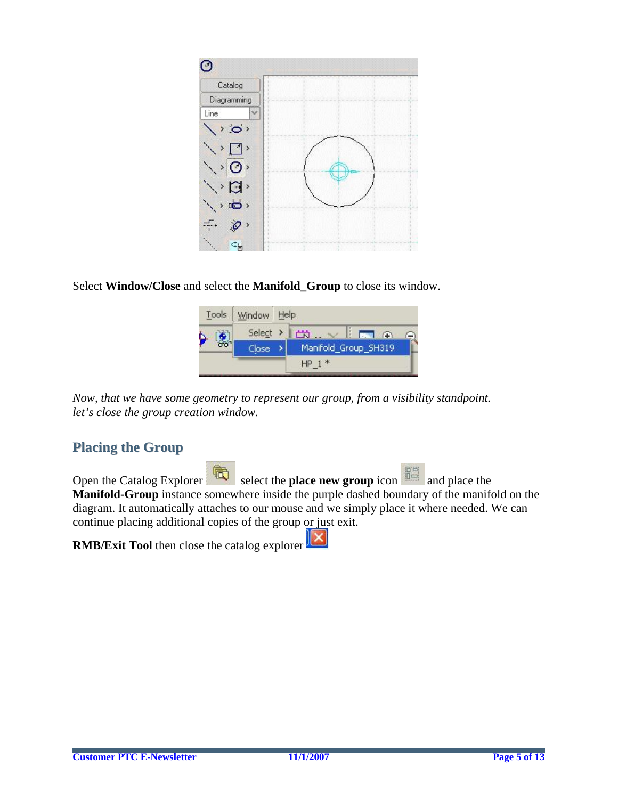

### Select **Window/Close** and select the **Manifold\_Group** to close its window.



*Now, that we have some geometry to represent our group, from a visibility standpoint. let's close the group creation window.* 

### **Placing the Group**

Open the Catalog Explorer select the **place new group** icon and place the **Manifold-Group** instance somewhere inside the purple dashed boundary of the manifold on the diagram. It automatically attaches to our mouse and we simply place it where needed. We can continue placing additional copies of the group or just exit.

**RMB/Exit Tool** then close the catalog explorer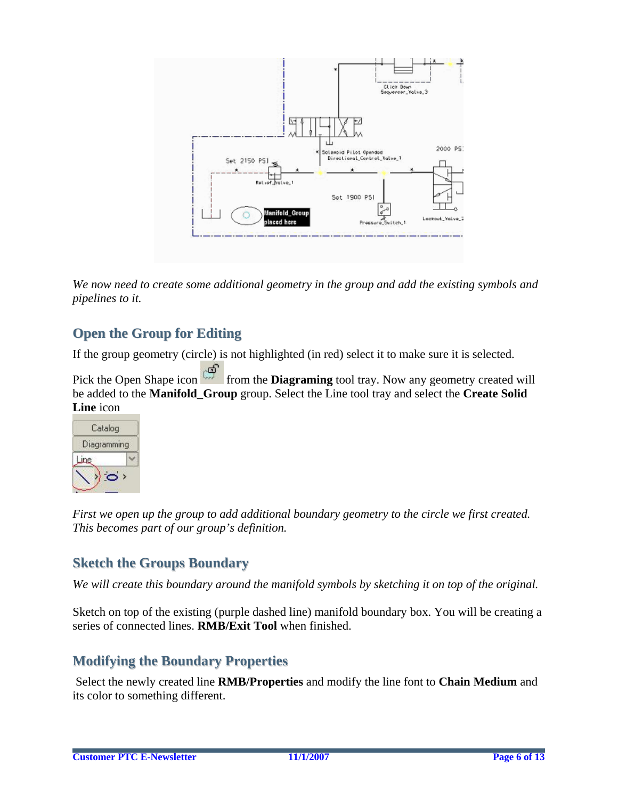

*We now need to create some additional geometry in the group and add the existing symbols and pipelines to it.* 

## **Open the Group for Editing**

If the group geometry (circle) is not highlighted (in red) select it to make sure it is selected.

Pick the Open Shape icon from the **Diagraming** tool tray. Now any geometry created will be added to the **Manifold\_Group** group. Select the Line tool tray and select the **Create Solid Line** icon



*First we open up the group to add additional boundary geometry to the circle we first created. This becomes part of our group's definition.* 

## **Sketch the Groups Boundary**

*We will create this boundary around the manifold symbols by sketching it on top of the original.* 

Sketch on top of the existing (purple dashed line) manifold boundary box. You will be creating a series of connected lines. **RMB/Exit Tool** when finished.

## **Modifying the Boundary Properties**

 Select the newly created line **RMB/Properties** and modify the line font to **Chain Medium** and its color to something different.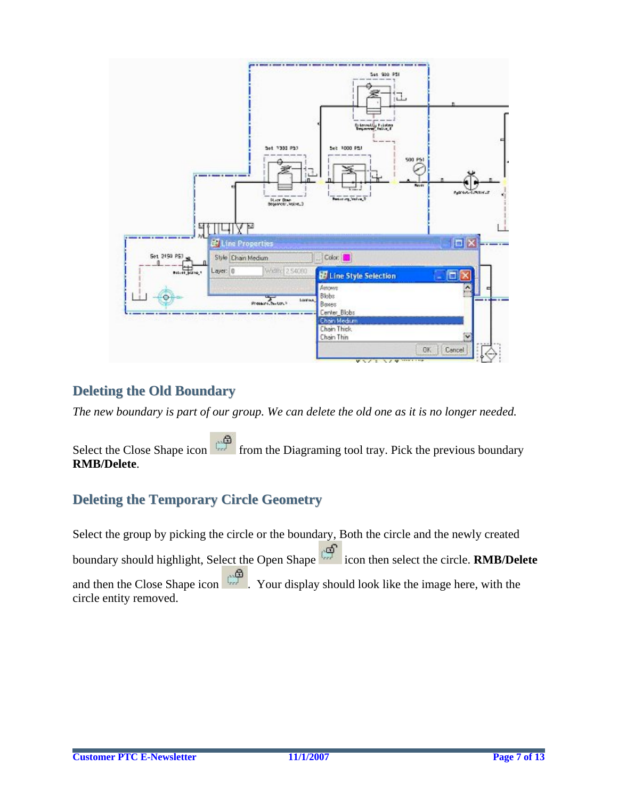

## **Deleting the Old Boundary**

*The new boundary is part of our group. We can delete the old one as it is no longer needed.* 

Select the Close Shape icon from the Diagraming tool tray. Pick the previous boundary **RMB/Delete**.

## **Deleting the Temporary Circle Geometry**

Select the group by picking the circle or the boundary, Both the circle and the newly created boundary should highlight, Select the Open Shape icon then select the circle. **RMB/Delete** and then the Close Shape icon . Your display should look like the image here, with the circle entity removed.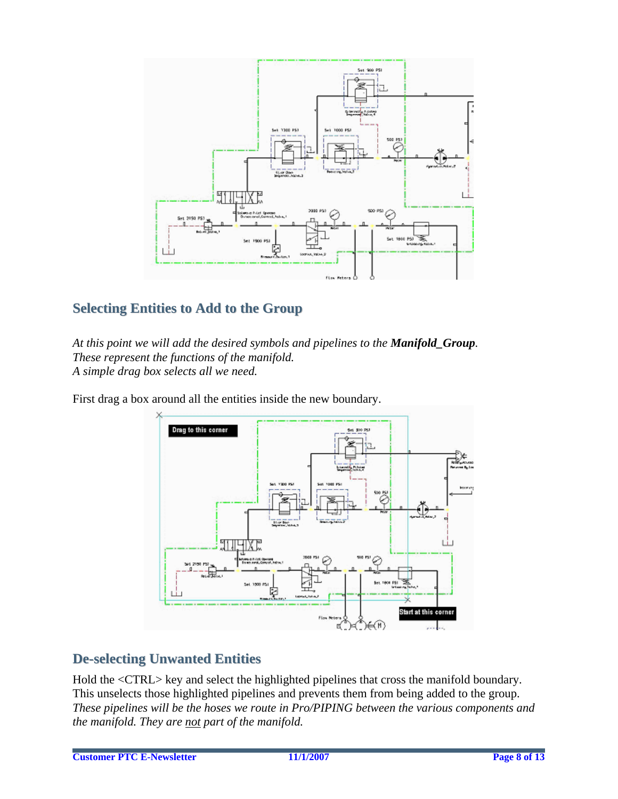

## **Selecting Entities to Add to the Group**

*At this point we will add the desired symbols and pipelines to the Manifold\_Group. These represent the functions of the manifold. A simple drag box selects all we need.* 

First drag a box around all the entities inside the new boundary.



## **De-selecting Unwanted Entities**

Hold the <CTRL> key and select the highlighted pipelines that cross the manifold boundary. This unselects those highlighted pipelines and prevents them from being added to the group. *These pipelines will be the hoses we route in Pro/PIPING between the various components and the manifold. They are not part of the manifold.*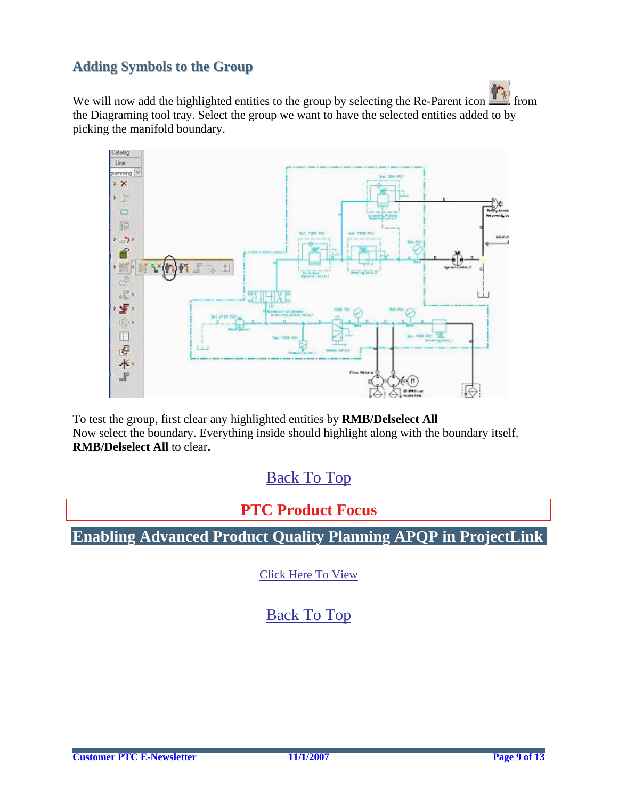## <span id="page-8-0"></span>**Adding Symbols to the Group**

We will now add the highlighted entities to the group by selecting the Re-Parent icon  $\frac{1}{\sqrt{2}}$  from the Diagraming tool tray. Select the group we want to have the selected entities added to by picking the manifold boundary.



To test the group, first clear any highlighted entities by **RMB/Delselect All**  Now select the boundary. Everything inside should highlight along with the boundary itself. **RMB/Delselect All** to clear**.** 

[Back To Top](#page-0-0)

**PTC Product Focus** 

**Enabling Advanced Product Quality Planning APQP in ProjectLink** 

[Click Here To View](http://members.shaw.ca/jpeng/newsletter/PTC_Technical_Specialists_E-Newsletter_11-01-2007_enterprise.pdf)

[Back To Top](#page-0-0)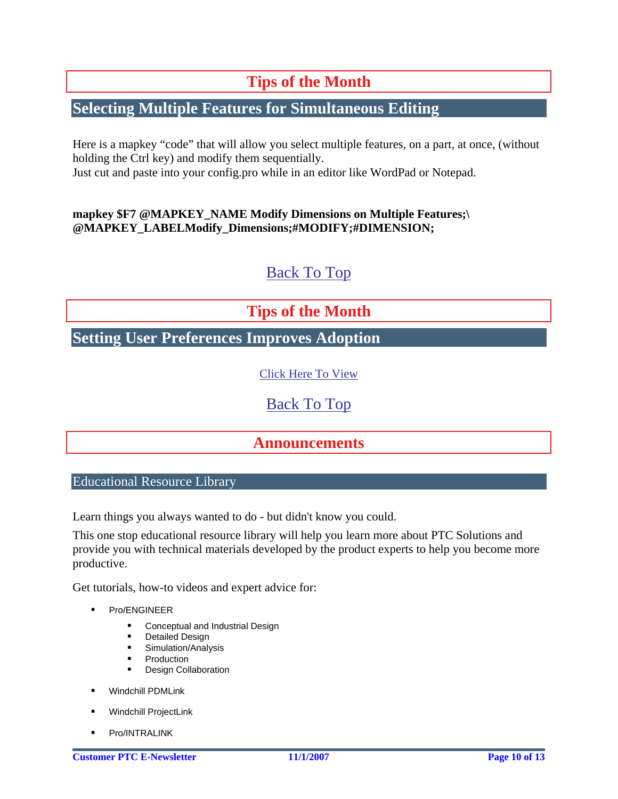# **Tips of the Month**

## <span id="page-9-0"></span>**Selecting Multiple Features for Simultaneous Editing**

Here is a mapkey "code" that will allow you select multiple features, on a part, at once, (without holding the Ctrl key) and modify them sequentially. Just cut and paste into your config.pro while in an editor like WordPad or Notepad.

### **mapkey \$F7 @MAPKEY\_NAME Modify Dimensions on Multiple Features;\ @MAPKEY\_LABELModify\_Dimensions;#MODIFY;#DIMENSION;**

# [Back To Top](#page-0-0)

# **Tips of the Month**

## **Setting User Preferences Improves Adoption**

[Click Here To View](http://members.shaw.ca/jpeng/newsletter/PTC_Technical_Specialists_E-Newsletter_11-01-2007_enterprise.pdf)

[Back To Top](#page-0-0)

## **Announcements**

Educational Resource Library

Learn things you always wanted to do - but didn't know you could.

This one stop educational resource library will help you learn more about PTC Solutions and provide you with technical materials developed by the product experts to help you become more productive.

Get tutorials, how-to videos and expert advice for:

- **Pro/ENGINEER** 
	- **EXECONCEPTED AND INCOCOCOLLET** Conceptual and Industrial Design
	- **•** Detailed Design
	- **Simulation/Analysis**
	- **Production**
	- Design Collaboration
- **Windchill PDMLink**
- Windchill ProjectLink
- Pro/INTRALINK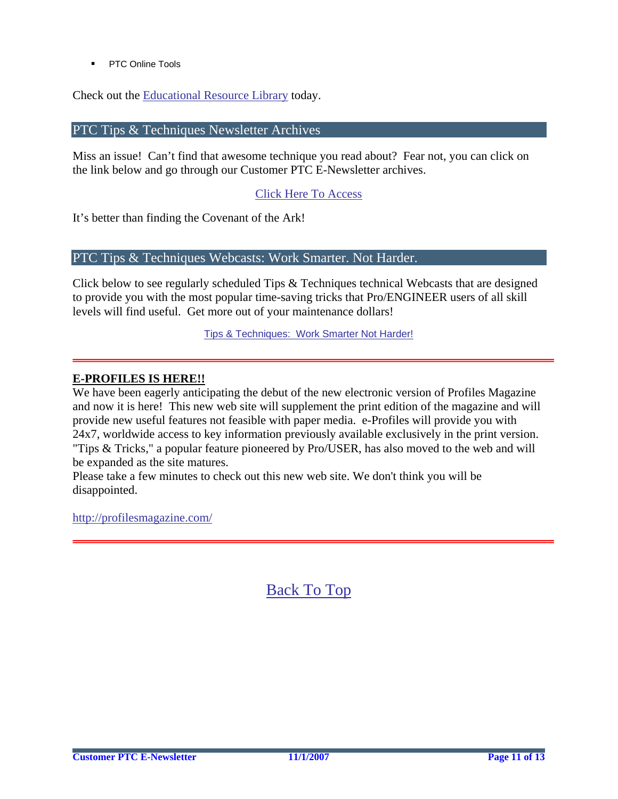PTC Online Tools

Check out the [Educational Resource Library](http://www.ptc.com/community/proewf/newtools/tutorials.htm) today.

PTC Tips & Techniques Newsletter Archives

Miss an issue! Can't find that awesome technique you read about? Fear not, you can click on the link below and go through our Customer PTC E-Newsletter archives.

[Click Here To Access](http://www.ptc.com/carezone/archive/index.htm)

It's better than finding the Covenant of the Ark!

### PTC Tips & Techniques Webcasts: Work Smarter. Not Harder.

Click below to see regularly scheduled Tips & Techniques technical Webcasts that are designed to provide you with the most popular time-saving tricks that Pro/ENGINEER users of all skill levels will find useful. Get more out of your maintenance dollars!

Tips & Techniques: Work Smarter Not Harder!

#### **E-PROFILES IS HERE!!**

We have been eagerly anticipating the debut of the new electronic version of Profiles Magazine and now it is here! This new web site will supplement the print edition of the magazine and will provide new useful features not feasible with paper media. e-Profiles will provide you with 24x7, worldwide access to key information previously available exclusively in the print version. "Tips & Tricks," a popular feature pioneered by Pro/USER, has also moved to the web and will be expanded as the site matures.

Please take a few minutes to check out this new web site. We don't think you will be disappointed.

<http://profilesmagazine.com/>

[Back To Top](#page-0-0)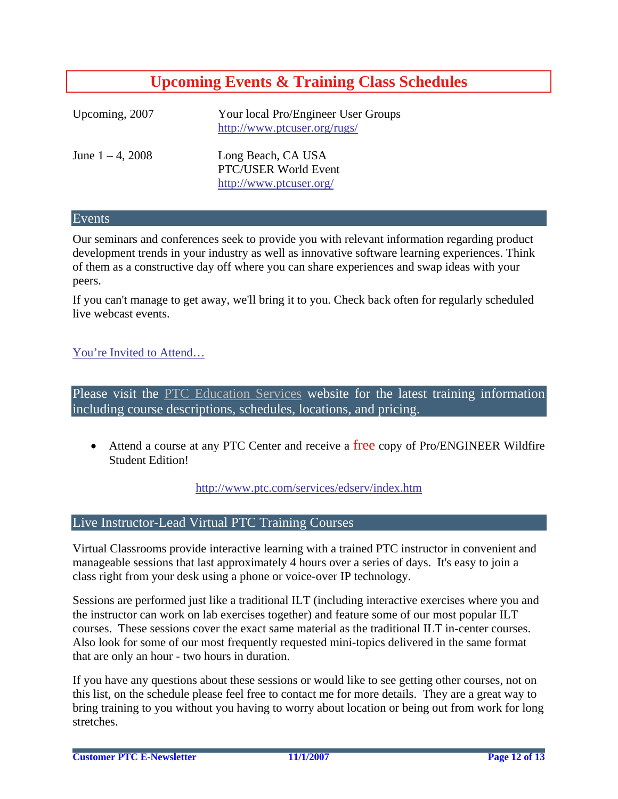# **Upcoming Events & Training Class Schedules**

<span id="page-11-0"></span>

| Upcoming, 2007      | Your local Pro/Engineer User Groups<br>http://www.ptcuser.org/rugs/   |
|---------------------|-----------------------------------------------------------------------|
| June $1 - 4$ , 2008 | Long Beach, CA USA<br>PTC/USER World Event<br>http://www.ptcuser.org/ |

#### Events

Our seminars and conferences seek to provide you with relevant information regarding product development trends in your industry as well as innovative software learning experiences. Think of them as a constructive day off where you can share experiences and swap ideas with your peers.

If you can't manage to get away, we'll bring it to you. Check back often for regularly scheduled live webcast events.

#### [You're Invited to Attend…](http://www.ptc.com/company/news/events/index.htm)

Please visit the [PTC Education Services](http://www.ptc.com/services/edserv/) website for the latest training information including course descriptions, schedules, locations, and pricing.

• Attend a course at any PTC Center and receive a free copy of Pro/ENGINEER Wildfire Student Edition!

<http://www.ptc.com/services/edserv/index.htm>

#### Live Instructor-Lead Virtual PTC Training Courses

Virtual Classrooms provide interactive learning with a trained PTC instructor in convenient and manageable sessions that last approximately 4 hours over a series of days. It's easy to join a class right from your desk using a phone or voice-over IP technology.

Sessions are performed just like a traditional ILT (including interactive exercises where you and the instructor can work on lab exercises together) and feature some of our most popular ILT courses. These sessions cover the exact same material as the traditional ILT in-center courses. Also look for some of our most frequently requested mini-topics delivered in the same format that are only an hour - two hours in duration.

If you have any questions about these sessions or would like to see getting other courses, not on this list, on the schedule please feel free to contact me for more details. They are a great way to bring training to you without you having to worry about location or being out from work for long stretches.